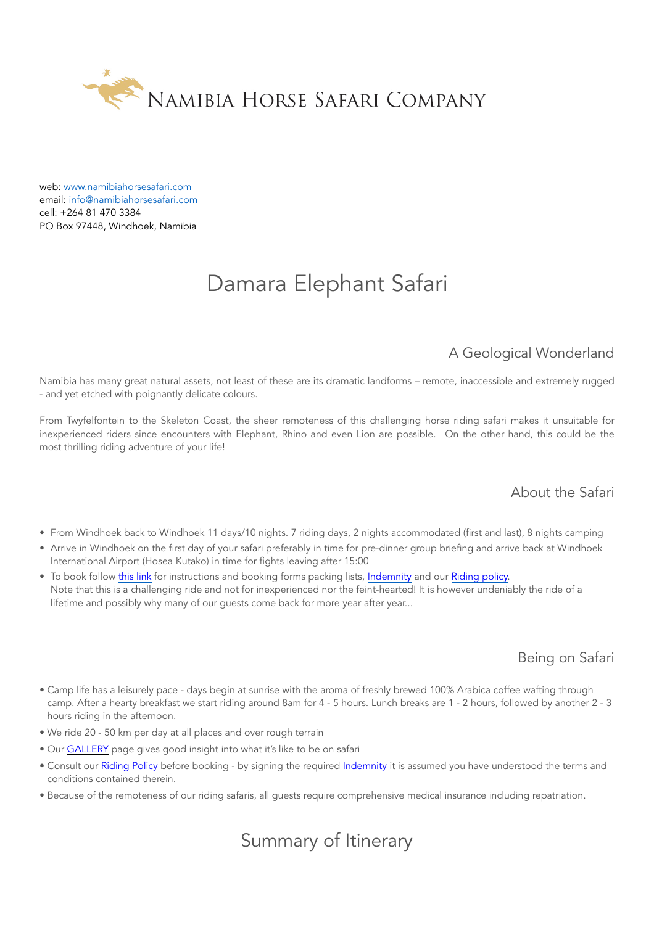

web: [www.namibiahorsesafari.com](http://www.namibiahorsesafari.com/) email: [info@namibiahorsesafari.com](mailto:info@namibiahorsesafari.com) cell: +264 81 470 3384 PO Box 97448, Windhoek, Namibia

# Damara Elephant Safari

## A Geological Wonderland

Namibia has many great natural assets, not least of these are its dramatic landforms – remote, inaccessible and extremely rugged - and yet etched with poignantly delicate colours.

From Twyfelfontein to the Skeleton Coast, the sheer remoteness of this challenging horse riding safari makes it unsuitable for inexperienced riders since encounters with Elephant, Rhino and even Lion are possible. On the other hand, this could be the most thrilling riding adventure of your life!

## About the Safari

- From Windhoek back to Windhoek 11 days/10 nights. 7 riding days, 2 nights accommodated (first and last), 8 nights camping
- Arrive in Windhoek on the first day of your safari preferably in time for pre-dinner group briefing and arrive back at Windhoek International Airport (Hosea Kutako) in time for fights leaving after 15:00
- To book follow [this link](http://www.namibiahorsesafari.com/booking-getting-here) for instructions and booking forms packing lists, [Indemnity](http://www.namibiahorsesafari.com/terms-and-conditions) and our [Riding policy.](http://www.namibiahorsesafari.com/riding-policy) Note that this is a challenging ride and not for inexperienced nor the feint-hearted! It is however undeniably the ride of a lifetime and possibly why many of our guests come back for more year after year...

### Being on Safari

- Camp life has a leisurely pace days begin at sunrise with the aroma of freshly brewed 100% Arabica coffee wafting through camp. After a hearty breakfast we start riding around 8am for 4 - 5 hours. Lunch breaks are 1 - 2 hours, followed by another 2 - 3 hours riding in the afternoon.
- We ride 20 50 km per day at all places and over rough terrain
- Our [GALLERY](http://www.namibiahorsesafari.com/gallery) page gives good insight into what it's like to be on safari
- Consult our [Riding Policy](http://www.namibiahorsesafari.com/riding-policy) before booking by signing the required [Indemnity](http://www.namibiahorsesafari.com/terms-and-conditions) it is assumed you have understood the terms and conditions contained therein.
- Because of the remoteness of our riding safaris, all guests require comprehensive medical insurance including repatriation.

## Summary of Itinerary